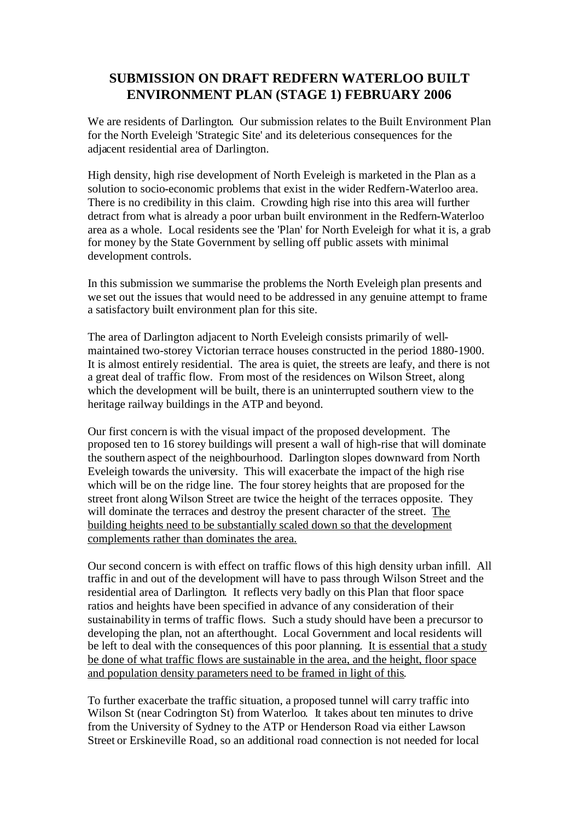## **SUBMISSION ON DRAFT REDFERN WATERLOO BUILT ENVIRONMENT PLAN (STAGE 1) FEBRUARY 2006**

We are residents of Darlington. Our submission relates to the Built Environment Plan for the North Eveleigh 'Strategic Site' and its deleterious consequences for the adjacent residential area of Darlington.

High density, high rise development of North Eveleigh is marketed in the Plan as a solution to socio-economic problems that exist in the wider Redfern-Waterloo area. There is no credibility in this claim. Crowding high rise into this area will further detract from what is already a poor urban built environment in the Redfern-Waterloo area as a whole. Local residents see the 'Plan' for North Eveleigh for what it is, a grab for money by the State Government by selling off public assets with minimal development controls.

In this submission we summarise the problems the North Eveleigh plan presents and we set out the issues that would need to be addressed in any genuine attempt to frame a satisfactory built environment plan for this site.

The area of Darlington adjacent to North Eveleigh consists primarily of wellmaintained two-storey Victorian terrace houses constructed in the period 1880-1900. It is almost entirely residential. The area is quiet, the streets are leafy, and there is not a great deal of traffic flow. From most of the residences on Wilson Street, along which the development will be built, there is an uninterrupted southern view to the heritage railway buildings in the ATP and beyond.

Our first concern is with the visual impact of the proposed development. The proposed ten to 16 storey buildings will present a wall of high-rise that will dominate the southern aspect of the neighbourhood. Darlington slopes downward from North Eveleigh towards the university. This will exacerbate the impact of the high rise which will be on the ridge line. The four storey heights that are proposed for the street front along Wilson Street are twice the height of the terraces opposite. They will dominate the terraces and destroy the present character of the street. The building heights need to be substantially scaled down so that the development complements rather than dominates the area.

Our second concern is with effect on traffic flows of this high density urban infill. All traffic in and out of the development will have to pass through Wilson Street and the residential area of Darlington. It reflects very badly on this Plan that floor space ratios and heights have been specified in advance of any consideration of their sustainability in terms of traffic flows. Such a study should have been a precursor to developing the plan, not an afterthought. Local Government and local residents will be left to deal with the consequences of this poor planning. It is essential that a study be done of what traffic flows are sustainable in the area, and the height, floor space and population density parameters need to be framed in light of this.

To further exacerbate the traffic situation, a proposed tunnel will carry traffic into Wilson St (near Codrington St) from Waterloo. It takes about ten minutes to drive from the University of Sydney to the ATP or Henderson Road via either Lawson Street or Erskineville Road, so an additional road connection is not needed for local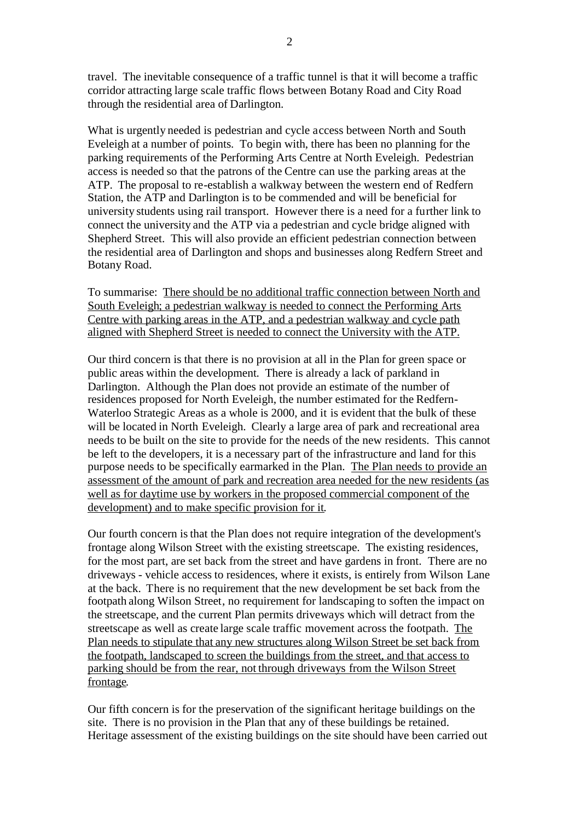travel. The inevitable consequence of a traffic tunnel is that it will become a traffic corridor attracting large scale traffic flows between Botany Road and City Road through the residential area of Darlington.

What is urgently needed is pedestrian and cycle access between North and South Eveleigh at a number of points. To begin with, there has been no planning for the parking requirements of the Performing Arts Centre at North Eveleigh. Pedestrian access is needed so that the patrons of the Centre can use the parking areas at the ATP. The proposal to re-establish a walkway between the western end of Redfern Station, the ATP and Darlington is to be commended and will be beneficial for university students using rail transport. However there is a need for a further link to connect the university and the ATP via a pedestrian and cycle bridge aligned with Shepherd Street. This will also provide an efficient pedestrian connection between the residential area of Darlington and shops and businesses along Redfern Street and Botany Road.

To summarise: There should be no additional traffic connection between North and South Eveleigh; a pedestrian walkway is needed to connect the Performing Arts Centre with parking areas in the ATP, and a pedestrian walkway and cycle path aligned with Shepherd Street is needed to connect the University with the ATP.

Our third concern is that there is no provision at all in the Plan for green space or public areas within the development. There is already a lack of parkland in Darlington. Although the Plan does not provide an estimate of the number of residences proposed for North Eveleigh, the number estimated for the Redfern-Waterloo Strategic Areas as a whole is 2000, and it is evident that the bulk of these will be located in North Eveleigh. Clearly a large area of park and recreational area needs to be built on the site to provide for the needs of the new residents. This cannot be left to the developers, it is a necessary part of the infrastructure and land for this purpose needs to be specifically earmarked in the Plan. The Plan needs to provide an assessment of the amount of park and recreation area needed for the new residents (as well as for daytime use by workers in the proposed commercial component of the development) and to make specific provision for it.

Our fourth concern isthat the Plan does not require integration of the development's frontage along Wilson Street with the existing streetscape. The existing residences, for the most part, are set back from the street and have gardens in front. There are no driveways - vehicle access to residences, where it exists, is entirely from Wilson Lane at the back. There is no requirement that the new development be set back from the footpath along Wilson Street, no requirement for landscaping to soften the impact on the streetscape, and the current Plan permits driveways which will detract from the streetscape as well as create large scale traffic movement across the footpath. The Plan needs to stipulate that any new structures along Wilson Street be set back from the footpath, landscaped to screen the buildings from the street, and that access to parking should be from the rear, not through driveways from the Wilson Street frontage.

Our fifth concern is for the preservation of the significant heritage buildings on the site. There is no provision in the Plan that any of these buildings be retained. Heritage assessment of the existing buildings on the site should have been carried out